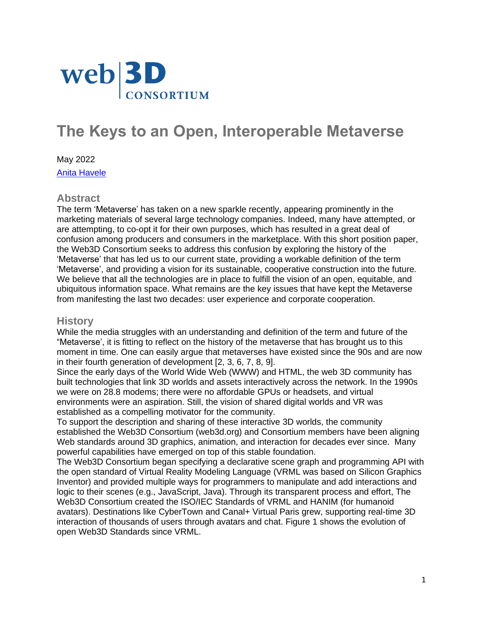

# **The Keys to an Open, Interoperable Metaverse**

May 2022 [Anita Havele](https://www.web3d.org/havele)

#### **Abstract**

The term 'Metaverse' has taken on a new sparkle recently, appearing prominently in the marketing materials of several large technology companies. Indeed, many have attempted, or are attempting, to co-opt it for their own purposes, which has resulted in a great deal of confusion among producers and consumers in the marketplace. With this short position paper, the Web3D Consortium seeks to address this confusion by exploring the history of the 'Metaverse' that has led us to our current state, providing a workable definition of the term 'Metaverse', and providing a vision for its sustainable, cooperative construction into the future. We believe that all the technologies are in place to fulfill the vision of an open, equitable, and ubiquitous information space. What remains are the key issues that have kept the Metaverse from manifesting the last two decades: user experience and corporate cooperation.

#### **History**

While the media struggles with an understanding and definition of the term and future of the "Metaverse', it is fitting to reflect on the history of the metaverse that has brought us to this moment in time. One can easily argue that metaverses have existed since the 90s and are now in their fourth generation of development [2, 3, 6, 7, 8, 9].

Since the early days of the World Wide Web (WWW) and HTML, the web 3D community has built technologies that link 3D worlds and assets interactively across the network. In the 1990s we were on 28.8 modems; there were no affordable GPUs or headsets, and virtual environments were an aspiration. Still, the vision of shared digital worlds and VR was established as a compelling motivator for the community.

To support the description and sharing of these interactive 3D worlds, the community established the Web3D Consortium (web3d.org) and Consortium members have been aligning Web standards around 3D graphics, animation, and interaction for decades ever since. Many powerful capabilities have emerged on top of this stable foundation.

The Web3D Consortium began specifying a declarative scene graph and programming API with the open standard of Virtual Reality Modeling Language (VRML was based on Silicon Graphics Inventor) and provided multiple ways for programmers to manipulate and add interactions and logic to their scenes (e.g., JavaScript, Java). Through its transparent process and effort, The Web3D Consortium created the ISO/IEC Standards of VRML and HANIM (for humanoid avatars). Destinations like CyberTown and Canal+ Virtual Paris grew, supporting real-time 3D interaction of thousands of users through avatars and chat. Figure 1 shows the evolution of open Web3D Standards since VRML.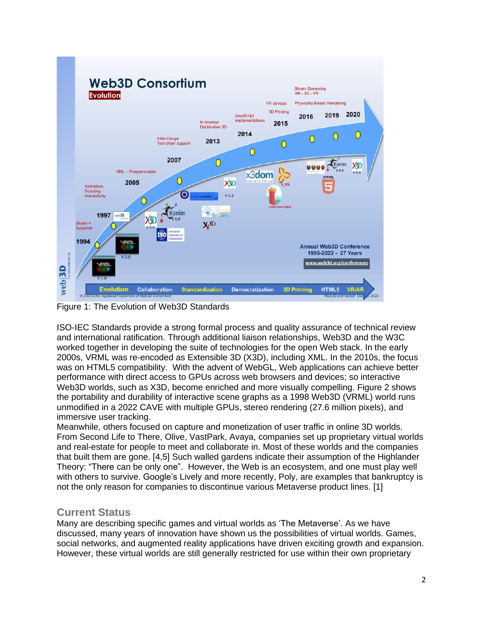

Figure 1: The Evolution of Web3D Standards

ISO-IEC Standards provide a strong formal process and quality assurance of technical review and international ratification. Through additional liaison relationships, Web3D and the W3C worked together in developing the suite of technologies for the open Web stack. In the early 2000s, VRML was re-encoded as Extensible 3D (X3D), including XML. In the 2010s, the focus was on HTML5 compatibility. With the advent of WebGL, Web applications can achieve better performance with direct access to GPUs across web browsers and devices; so interactive Web3D worlds, such as X3D, become enriched and more visually compelling. Figure 2 shows the portability and durability of interactive scene graphs as a 1998 Web3D (VRML) world runs unmodified in a 2022 CAVE with multiple GPUs, stereo rendering (27.6 million pixels), and immersive user tracking.

Meanwhile, others focused on capture and monetization of user traffic in online 3D worlds. From Second Life to There, Olive, VastPark, Avaya, companies set up proprietary virtual worlds and real-estate for people to meet and collaborate in. Most of these worlds and the companies that built them are gone. [4,5] Such walled gardens indicate their assumption of the Highlander Theory: "There can be only one". However, the Web is an ecosystem, and one must play well with others to survive. Google's Lively and more recently, Poly, are examples that bankruptcy is not the only reason for companies to discontinue various Metaverse product lines. [1]

# **Current Status**

Many are describing specific games and virtual worlds as 'The Metaverse'. As we have discussed, many years of innovation have shown us the possibilities of virtual worlds. Games, social networks, and augmented reality applications have driven exciting growth and expansion. However, these virtual worlds are still generally restricted for use within their own proprietary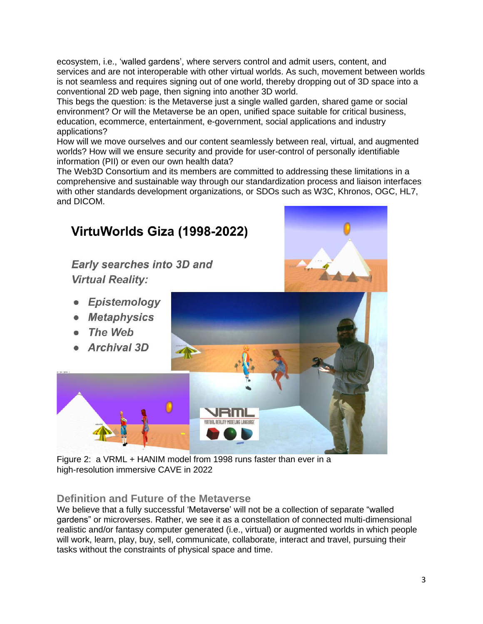ecosystem, i.e., 'walled gardens', where servers control and admit users, content, and services and are not interoperable with other virtual worlds. As such, movement between worlds is not seamless and requires signing out of one world, thereby dropping out of 3D space into a conventional 2D web page, then signing into another 3D world.

This begs the question: is the Metaverse just a single walled garden, shared game or social environment? Or will the Metaverse be an open, unified space suitable for critical business, education, ecommerce, entertainment, e-government, social applications and industry applications?

How will we move ourselves and our content seamlessly between real, virtual, and augmented worlds? How will we ensure security and provide for user-control of personally identifiable information (PII) or even our own health data?

The Web3D Consortium and its members are committed to addressing these limitations in a comprehensive and sustainable way through our standardization process and liaison interfaces with other standards development organizations, or SDOs such as W3C, Khronos, OGC, HL7, and DICOM.



Figure 2: a VRML + HANIM model from 1998 runs faster than ever in a high-resolution immersive CAVE in 2022

# **Definition and Future of the Metaverse**

We believe that a fully successful 'Metaverse' will not be a collection of separate "walled gardens" or microverses. Rather, we see it as a constellation of connected multi-dimensional realistic and/or fantasy computer generated (i.e., virtual) or augmented worlds in which people will work, learn, play, buy, sell, communicate, collaborate, interact and travel, pursuing their tasks without the constraints of physical space and time.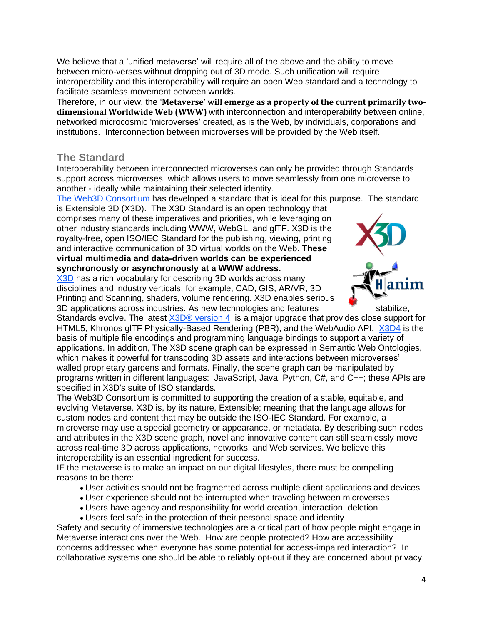We believe that a 'unified metaverse' will require all of the above and the ability to move between micro-verses without dropping out of 3D mode. Such unification will require interoperability and this interoperability will require an open Web standard and a technology to facilitate seamless movement between worlds.

Therefore, in our view, the '**Metaverse' will emerge as a property of the current primarily twodimensional Worldwide Web (WWW)** with interconnection and interoperability between online, networked microcosmic 'microverses' created, as is the Web, by individuals, corporations and institutions. Interconnection between microverses will be provided by the Web itself.

#### **The Standard**

Interoperability between interconnected microverses can only be provided through Standards support across microverses, which allows users to move seamlessly from one microverse to another - ideally while maintaining their selected identity.

The Web3D [Consortium](http://www.web3d.org/) has developed a standard that is ideal for this purpose. The standard

is Extensible 3D (X3D). The X3D Standard is an open technology that comprises many of these imperatives and priorities, while leveraging on other industry standards including WWW, WebGL, and glTF. X3D is the royalty-free, open ISO/IEC Standard for the publishing, viewing, printing and interactive communication of 3D virtual worlds on the Web. **These virtual multimedia and data-driven worlds can be experienced synchronously or asynchronously at a WWW address.**

[X3D](https://www.web3d.org/x3d/what-x3d) has a rich vocabulary for describing 3D worlds across many disciplines and industry verticals, for example, CAD, GIS, AR/VR, 3D Printing and Scanning, shaders, volume rendering. X3D enables serious 3D applications across industries. As new technologies and features stabilize,



Standards evolve. The latest X3D® [version](https://www.web3d.org/specifications/X3Dv4Draft/ISO-IEC19775-1v4-CD1/Part01/Architecture.html) 4 is a major upgrade that provides close support for HTML5, Khronos glTF Physically-Based Rendering (PBR), and the WebAudio API. [X3D4](http://www.web3d.org/x3d4) is the basis of multiple file encodings and programming language bindings to support a variety of applications. In addition, The X3D scene graph can be expressed in Semantic Web Ontologies, which makes it powerful for transcoding 3D assets and interactions between microverses' walled proprietary gardens and formats. Finally, the scene graph can be manipulated by programs written in different languages: JavaScript, Java, Python, C#, and C++; these APIs are specified in X3D's suite of ISO standards.

The Web3D Consortium is committed to supporting the creation of a stable, equitable, and evolving Metaverse. X3D is, by its nature, Extensible; meaning that the language allows for custom nodes and content that may be outside the ISO-IEC Standard. For example, a microverse may use a special geometry or appearance, or metadata. By describing such nodes and attributes in the X3D scene graph, novel and innovative content can still seamlessly move across real-time 3D across applications, networks, and Web services. We believe this interoperability is an essential ingredient for success.

IF the metaverse is to make an impact on our digital lifestyles, there must be compelling reasons to be there:

- User activities should not be fragmented across multiple client applications and devices
- User experience should not be interrupted when traveling between microverses
- Users have agency and responsibility for world creation, interaction, deletion
- Users feel safe in the protection of their personal space and identity

Safety and security of immersive technologies are a critical part of how people might engage in Metaverse interactions over the Web. How are people protected? How are accessibility concerns addressed when everyone has some potential for access-impaired interaction? In collaborative systems one should be able to reliably opt-out if they are concerned about privacy.